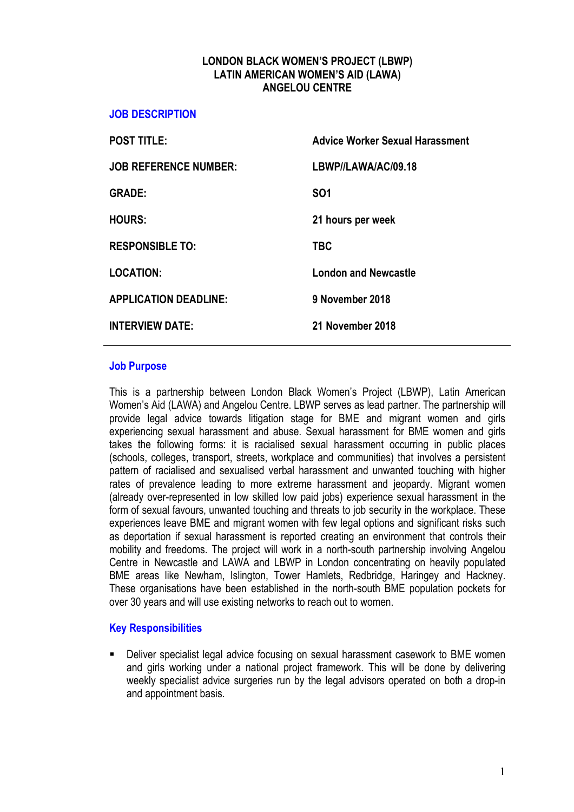### LONDON BLACK WOMEN'S PROJECT (LBWP) LATIN AMERICAN WOMEN'S AID (LAWA) ANGELOU CENTRE

#### JOB DESCRIPTION

| <b>POST TITLE:</b>           | <b>Advice Worker Sexual Harassment</b> |  |
|------------------------------|----------------------------------------|--|
| <b>JOB REFERENCE NUMBER:</b> | LBWP//LAWA/AC/09.18                    |  |
| <b>GRADE:</b>                | <b>SO1</b>                             |  |
| <b>HOURS:</b>                | 21 hours per week                      |  |
| <b>RESPONSIBLE TO:</b>       | <b>TBC</b>                             |  |
| <b>LOCATION:</b>             | <b>London and Newcastle</b>            |  |
| <b>APPLICATION DEADLINE:</b> | 9 November 2018                        |  |
| <b>INTERVIEW DATE:</b>       | 21 November 2018                       |  |
|                              |                                        |  |

#### Job Purpose

This is a partnership between London Black Women's Project (LBWP), Latin American Women's Aid (LAWA) and Angelou Centre. LBWP serves as lead partner. The partnership will provide legal advice towards litigation stage for BME and migrant women and girls experiencing sexual harassment and abuse. Sexual harassment for BME women and girls takes the following forms: it is racialised sexual harassment occurring in public places (schools, colleges, transport, streets, workplace and communities) that involves a persistent pattern of racialised and sexualised verbal harassment and unwanted touching with higher rates of prevalence leading to more extreme harassment and jeopardy. Migrant women (already over-represented in low skilled low paid jobs) experience sexual harassment in the form of sexual favours, unwanted touching and threats to job security in the workplace. These experiences leave BME and migrant women with few legal options and significant risks such as deportation if sexual harassment is reported creating an environment that controls their mobility and freedoms. The project will work in a north-south partnership involving Angelou Centre in Newcastle and LAWA and LBWP in London concentrating on heavily populated BME areas like Newham, Islington, Tower Hamlets, Redbridge, Haringey and Hackney. These organisations have been established in the north-south BME population pockets for over 30 years and will use existing networks to reach out to women.

### Key Responsibilities

 Deliver specialist legal advice focusing on sexual harassment casework to BME women and girls working under a national project framework. This will be done by delivering weekly specialist advice surgeries run by the legal advisors operated on both a drop-in and appointment basis.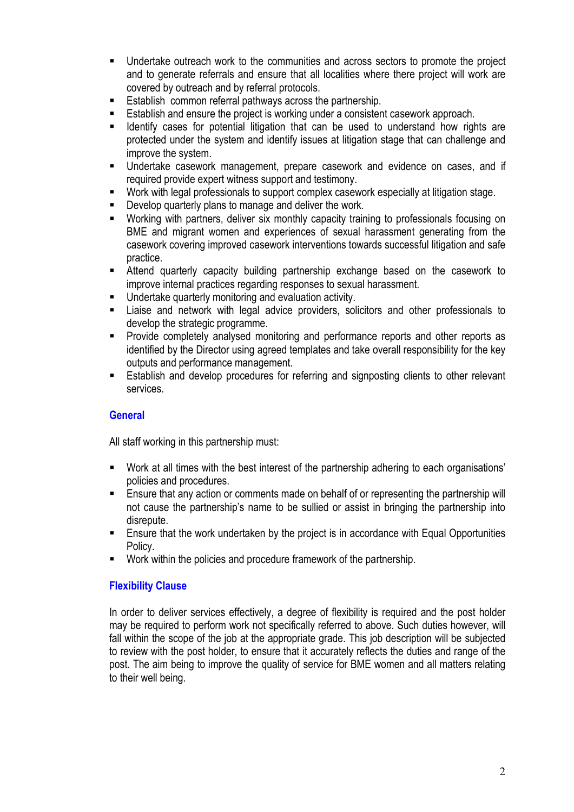- Undertake outreach work to the communities and across sectors to promote the project and to generate referrals and ensure that all localities where there project will work are covered by outreach and by referral protocols.
- Establish common referral pathways across the partnership.
- Establish and ensure the project is working under a consistent casework approach.
- Identify cases for potential litigation that can be used to understand how rights are protected under the system and identify issues at litigation stage that can challenge and improve the system.
- Undertake casework management, prepare casework and evidence on cases, and if required provide expert witness support and testimony.
- Work with legal professionals to support complex casework especially at litigation stage.
- Develop quarterly plans to manage and deliver the work.
- Working with partners, deliver six monthly capacity training to professionals focusing on BME and migrant women and experiences of sexual harassment generating from the casework covering improved casework interventions towards successful litigation and safe practice.
- Attend quarterly capacity building partnership exchange based on the casework to improve internal practices regarding responses to sexual harassment.
- Undertake quarterly monitoring and evaluation activity.
- Liaise and network with legal advice providers, solicitors and other professionals to develop the strategic programme.
- **Provide completely analysed monitoring and performance reports and other reports as** identified by the Director using agreed templates and take overall responsibility for the key outputs and performance management.
- Establish and develop procedures for referring and signposting clients to other relevant services.

## **General**

All staff working in this partnership must:

- Work at all times with the best interest of the partnership adhering to each organisations' policies and procedures.
- **Ensure that any action or comments made on behalf of or representing the partnership will** not cause the partnership's name to be sullied or assist in bringing the partnership into disrepute.
- Ensure that the work undertaken by the project is in accordance with Equal Opportunities Policy.
- Work within the policies and procedure framework of the partnership.

## Flexibility Clause

In order to deliver services effectively, a degree of flexibility is required and the post holder may be required to perform work not specifically referred to above. Such duties however, will fall within the scope of the job at the appropriate grade. This job description will be subjected to review with the post holder, to ensure that it accurately reflects the duties and range of the post. The aim being to improve the quality of service for BME women and all matters relating to their well being.